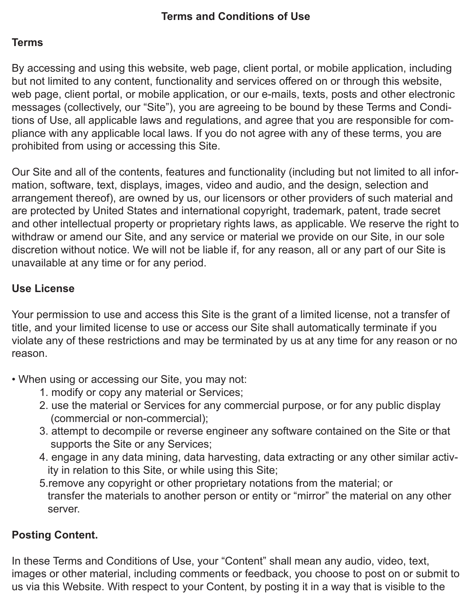# **Terms**

By accessing and using this website, web page, client portal, or mobile application, including but not limited to any content, functionality and services offered on or through this website, web page, client portal, or mobile application, or our e-mails, texts, posts and other electronic messages (collectively, our "Site"), you are agreeing to be bound by these Terms and Conditions of Use, all applicable laws and regulations, and agree that you are responsible for compliance with any applicable local laws. If you do not agree with any of these terms, you are prohibited from using or accessing this Site.

Our Site and all of the contents, features and functionality (including but not limited to all information, software, text, displays, images, video and audio, and the design, selection and arrangement thereof), are owned by us, our licensors or other providers of such material and are protected by United States and international copyright, trademark, patent, trade secret and other intellectual property or proprietary rights laws, as applicable. We reserve the right to withdraw or amend our Site, and any service or material we provide on our Site, in our sole discretion without notice. We will not be liable if, for any reason, all or any part of our Site is unavailable at any time or for any period.

# **Use License**

Your permission to use and access this Site is the grant of a limited license, not a transfer of title, and your limited license to use or access our Site shall automatically terminate if you violate any of these restrictions and may be terminated by us at any time for any reason or no reason.

- When using or accessing our Site, you may not:
	- 1. modify or copy any material or Services;
	- 2. use the material or Services for any commercial purpose, or for any public display (commercial or non-commercial);
	- 3. attempt to decompile or reverse engineer any software contained on the Site or that supports the Site or any Services;
	- 4. engage in any data mining, data harvesting, data extracting or any other similar activ ity in relation to this Site, or while using this Site;
	- 5.remove any copyright or other proprietary notations from the material; or transfer the materials to another person or entity or "mirror" the material on any other server.

# **Posting Content.**

In these Terms and Conditions of Use, your "Content" shall mean any audio, video, text, images or other material, including comments or feedback, you choose to post on or submit to us via this Website. With respect to your Content, by posting it in a way that is visible to the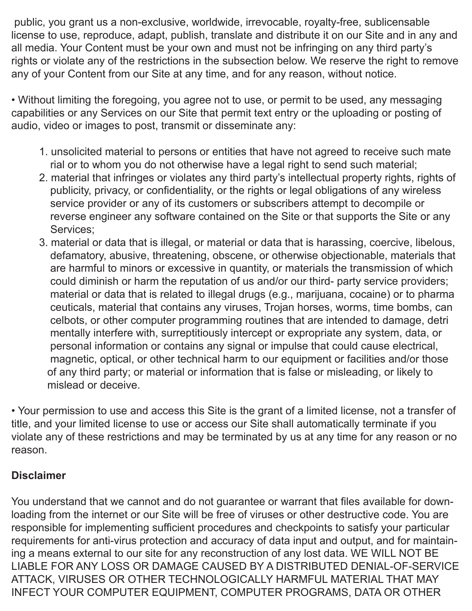public, you grant us a non-exclusive, worldwide, irrevocable, royalty-free, sublicensable license to use, reproduce, adapt, publish, translate and distribute it on our Site and in any and all media. Your Content must be your own and must not be infringing on any third party's rights or violate any of the restrictions in the subsection below. We reserve the right to remove any of your Content from our Site at any time, and for any reason, without notice.

• Without limiting the foregoing, you agree not to use, or permit to be used, any messaging capabilities or any Services on our Site that permit text entry or the uploading or posting of audio, video or images to post, transmit or disseminate any:

- 1. unsolicited material to persons or entities that have not agreed to receive such mate rial or to whom you do not otherwise have a legal right to send such material;
- 2. material that infringes or violates any third party's intellectual property rights, rights of publicity, privacy, or confidentiality, or the rights or legal obligations of any wireless service provider or any of its customers or subscribers attempt to decompile or reverse engineer any software contained on the Site or that supports the Site or any Services;
- 3. material or data that is illegal, or material or data that is harassing, coercive, libelous, defamatory, abusive, threatening, obscene, or otherwise objectionable, materials that are harmful to minors or excessive in quantity, or materials the transmission of which could diminish or harm the reputation of us and/or our third- party service providers; material or data that is related to illegal drugs (e.g., marijuana, cocaine) or to pharma ceuticals, material that contains any viruses, Trojan horses, worms, time bombs, can celbots, or other computer programming routines that are intended to damage, detri mentally interfere with, surreptitiously intercept or expropriate any system, data, or personal information or contains any signal or impulse that could cause electrical, magnetic, optical, or other technical harm to our equipment or facilities and/or those of any third party; or material or information that is false or misleading, or likely to mislead or deceive.

• Your permission to use and access this Site is the grant of a limited license, not a transfer of title, and your limited license to use or access our Site shall automatically terminate if you violate any of these restrictions and may be terminated by us at any time for any reason or no reason.

# **Disclaimer**

You understand that we cannot and do not guarantee or warrant that files available for downloading from the internet or our Site will be free of viruses or other destructive code. You are responsible for implementing sufficient procedures and checkpoints to satisfy your particular requirements for anti-virus protection and accuracy of data input and output, and for maintaining a means external to our site for any reconstruction of any lost data. WE WILL NOT BE LIABLE FOR ANY LOSS OR DAMAGE CAUSED BY A DISTRIBUTED DENIAL-OF-SERVICE ATTACK, VIRUSES OR OTHER TECHNOLOGICALLY HARMFUL MATERIAL THAT MAY INFECT YOUR COMPUTER EQUIPMENT, COMPUTER PROGRAMS, DATA OR OTHER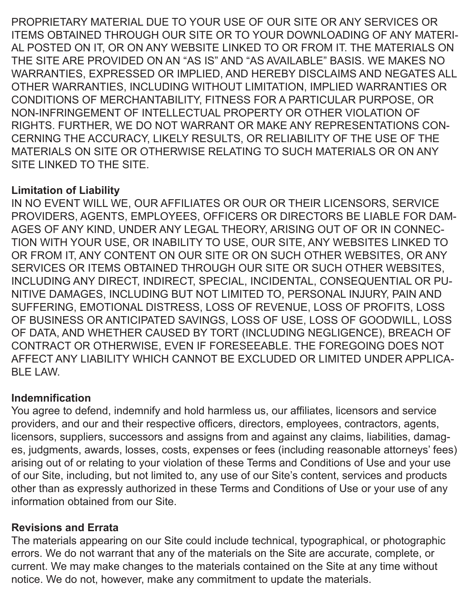PROPRIETARY MATERIAL DUE TO YOUR USE OF OUR SITE OR ANY SERVICES OR ITEMS OBTAINED THROUGH OUR SITE OR TO YOUR DOWNLOADING OF ANY MATERI-AL POSTED ON IT, OR ON ANY WEBSITE LINKED TO OR FROM IT. THE MATERIALS ON THE SITE ARE PROVIDED ON AN "AS IS" AND "AS AVAILABLE" BASIS. WE MAKES NO WARRANTIES, EXPRESSED OR IMPLIED, AND HEREBY DISCLAIMS AND NEGATES ALL OTHER WARRANTIES, INCLUDING WITHOUT LIMITATION, IMPLIED WARRANTIES OR CONDITIONS OF MERCHANTABILITY, FITNESS FOR A PARTICULAR PURPOSE, OR NON-INFRINGEMENT OF INTELLECTUAL PROPERTY OR OTHER VIOLATION OF RIGHTS. FURTHER, WE DO NOT WARRANT OR MAKE ANY REPRESENTATIONS CON-CERNING THE ACCURACY, LIKELY RESULTS, OR RELIABILITY OF THE USE OF THE MATERIALS ON SITE OR OTHERWISE RELATING TO SUCH MATERIALS OR ON ANY SITE LINKED TO THE SITE.

# **Limitation of Liability**

IN NO EVENT WILL WE, OUR AFFILIATES OR OUR OR THEIR LICENSORS, SERVICE PROVIDERS, AGENTS, EMPLOYEES, OFFICERS OR DIRECTORS BE LIABLE FOR DAM-AGES OF ANY KIND, UNDER ANY LEGAL THEORY, ARISING OUT OF OR IN CONNEC-TION WITH YOUR USE, OR INABILITY TO USE, OUR SITE, ANY WEBSITES LINKED TO OR FROM IT, ANY CONTENT ON OUR SITE OR ON SUCH OTHER WEBSITES, OR ANY SERVICES OR ITEMS OBTAINED THROUGH OUR SITE OR SUCH OTHER WEBSITES, INCLUDING ANY DIRECT, INDIRECT, SPECIAL, INCIDENTAL, CONSEQUENTIAL OR PU-NITIVE DAMAGES, INCLUDING BUT NOT LIMITED TO, PERSONAL INJURY, PAIN AND SUFFERING, EMOTIONAL DISTRESS, LOSS OF REVENUE, LOSS OF PROFITS, LOSS OF BUSINESS OR ANTICIPATED SAVINGS, LOSS OF USE, LOSS OF GOODWILL, LOSS OF DATA, AND WHETHER CAUSED BY TORT (INCLUDING NEGLIGENCE), BREACH OF CONTRACT OR OTHERWISE, EVEN IF FORESEEABLE. THE FOREGOING DOES NOT AFFECT ANY LIABILITY WHICH CANNOT BE EXCLUDED OR LIMITED UNDER APPLICA-BLE LAW.

# **Indemnification**

You agree to defend, indemnify and hold harmless us, our affiliates, licensors and service providers, and our and their respective officers, directors, employees, contractors, agents, licensors, suppliers, successors and assigns from and against any claims, liabilities, damages, judgments, awards, losses, costs, expenses or fees (including reasonable attorneys' fees) arising out of or relating to your violation of these Terms and Conditions of Use and your use of our Site, including, but not limited to, any use of our Site's content, services and products other than as expressly authorized in these Terms and Conditions of Use or your use of any information obtained from our Site.

# **Revisions and Errata**

The materials appearing on our Site could include technical, typographical, or photographic errors. We do not warrant that any of the materials on the Site are accurate, complete, or current. We may make changes to the materials contained on the Site at any time without notice. We do not, however, make any commitment to update the materials.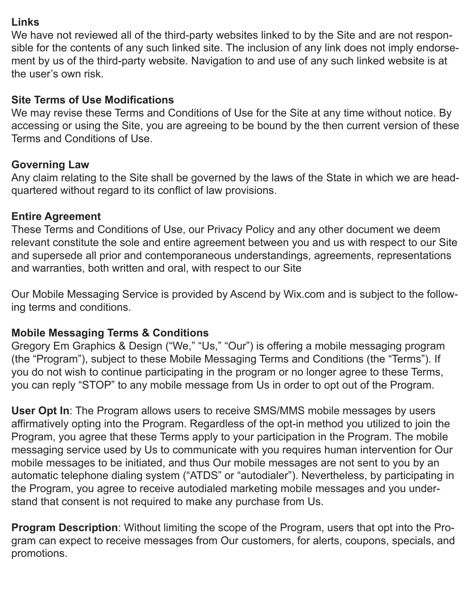# **Links**

We have not reviewed all of the third-party websites linked to by the Site and are not responsible for the contents of any such linked site. The inclusion of any link does not imply endorsement by us of the third-party website. Navigation to and use of any such linked website is at the user's own risk.

### **Site Terms of Use Modifications**

We may revise these Terms and Conditions of Use for the Site at any time without notice. By accessing or using the Site, you are agreeing to be bound by the then current version of these Terms and Conditions of Use.

### **Governing Law**

Any claim relating to the Site shall be governed by the laws of the State in which we are headquartered without regard to its conflict of law provisions.

#### **Entire Agreement**

These Terms and Conditions of Use, our Privacy Policy and any other document we deem relevant constitute the sole and entire agreement between you and us with respect to our Site and supersede all prior and contemporaneous understandings, agreements, representations and warranties, both written and oral, with respect to our Site

Our Mobile Messaging Service is provided by Ascend by Wix.com and is subject to the following terms and conditions.

# **Mobile Messaging Terms & Conditions**

Gregory Em Graphics & Design ("We," "Us," "Our") is offering a mobile messaging program (the "Program"), subject to these Mobile Messaging Terms and Conditions (the "Terms"). If you do not wish to continue participating in the program or no longer agree to these Terms, you can reply "STOP" to any mobile message from Us in order to opt out of the Program.

**User Opt In**: The Program allows users to receive SMS/MMS mobile messages by users affirmatively opting into the Program. Regardless of the opt-in method you utilized to join the Program, you agree that these Terms apply to your participation in the Program. The mobile messaging service used by Us to communicate with you requires human intervention for Our mobile messages to be initiated, and thus Our mobile messages are not sent to you by an automatic telephone dialing system ("ATDS" or "autodialer"). Nevertheless, by participating in the Program, you agree to receive autodialed marketing mobile messages and you understand that consent is not required to make any purchase from Us.

**Program Description**: Without limiting the scope of the Program, users that opt into the Program can expect to receive messages from Our customers, for alerts, coupons, specials, and promotions.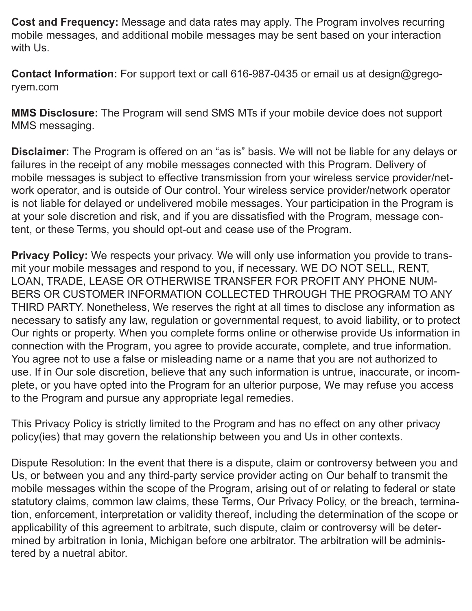**Cost and Frequency:** Message and data rates may apply. The Program involves recurring mobile messages, and additional mobile messages may be sent based on your interaction with Us.

**Contact Information:** For support text or call 616-987-0435 or email us at design@gregoryem.com

**MMS Disclosure:** The Program will send SMS MTs if your mobile device does not support MMS messaging.

**Disclaimer:** The Program is offered on an "as is" basis. We will not be liable for any delays or failures in the receipt of any mobile messages connected with this Program. Delivery of mobile messages is subject to effective transmission from your wireless service provider/network operator, and is outside of Our control. Your wireless service provider/network operator is not liable for delayed or undelivered mobile messages. Your participation in the Program is at your sole discretion and risk, and if you are dissatisfied with the Program, message content, or these Terms, you should opt-out and cease use of the Program.

**Privacy Policy:** We respects your privacy. We will only use information you provide to transmit your mobile messages and respond to you, if necessary. WE DO NOT SELL, RENT, LOAN, TRADE, LEASE OR OTHERWISE TRANSFER FOR PROFIT ANY PHONE NUM-BERS OR CUSTOMER INFORMATION COLLECTED THROUGH THE PROGRAM TO ANY THIRD PARTY. Nonetheless, We reserves the right at all times to disclose any information as necessary to satisfy any law, regulation or governmental request, to avoid liability, or to protect Our rights or property. When you complete forms online or otherwise provide Us information in connection with the Program, you agree to provide accurate, complete, and true information. You agree not to use a false or misleading name or a name that you are not authorized to use. If in Our sole discretion, believe that any such information is untrue, inaccurate, or incomplete, or you have opted into the Program for an ulterior purpose, We may refuse you access to the Program and pursue any appropriate legal remedies.

This Privacy Policy is strictly limited to the Program and has no effect on any other privacy policy(ies) that may govern the relationship between you and Us in other contexts.

Dispute Resolution: In the event that there is a dispute, claim or controversy between you and Us, or between you and any third-party service provider acting on Our behalf to transmit the mobile messages within the scope of the Program, arising out of or relating to federal or state statutory claims, common law claims, these Terms, Our Privacy Policy, or the breach, termination, enforcement, interpretation or validity thereof, including the determination of the scope or applicability of this agreement to arbitrate, such dispute, claim or controversy will be determined by arbitration in Ionia, Michigan before one arbitrator. The arbitration will be administered by a nuetral abitor.